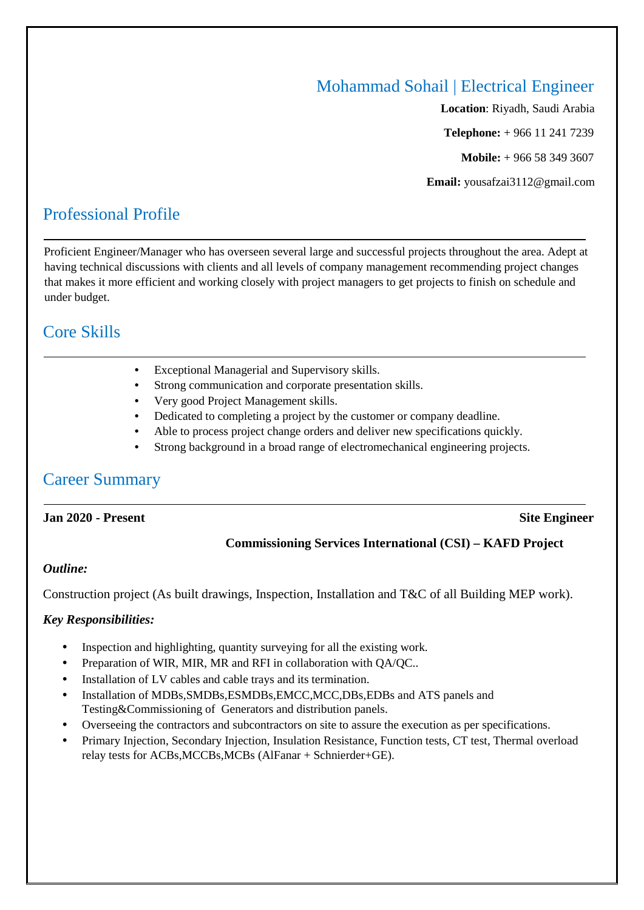## Mohammad Sohail | Electrical Engineer

**Location**: Riyadh, Saudi Arabia **Telephone:** + 966 11 241 7239 **Mobile:** + 966 58 349 3607 **Email:** yousafzai3112@gmail.com

# Professional Profile

Proficient Engineer/Manager who has overseen several large and successful projects throughout the area. Adept at having technical discussions with clients and all levels of company management recommending project changes that makes it more efficient and working closely with project managers to get projects to finish on schedule and under budget.

## Core Skills

- Exceptional Managerial and Supervisory skills.
- Strong communication and corporate presentation skills.
- Very good Project Management skills.
- Dedicated to completing a project by the customer or company deadline.
- Able to process project change orders and deliver new specifications quickly.
- Strong background in a broad range of electromechanical engineering projects.

## Career Summary

#### **Jan 2020 - Present Site Engineer**

#### **Commissioning Services International (CSI) – KAFD Project**

#### *Outline:*

Construction project (As built drawings, Inspection, Installation and T&C of all Building MEP work).

#### *Key Responsibilities:*

- Inspection and highlighting, quantity surveying for all the existing work.
- Preparation of WIR, MIR, MR and RFI in collaboration with QA/QC..
- Installation of LV cables and cable trays and its termination.
- Installation of MDBs,SMDBs,ESMDBs,EMCC,MCC,DBs,EDBs and ATS panels and Testing&Commissioning of Generators and distribution panels.
- Overseeing the contractors and subcontractors on site to assure the execution as per specifications.
- Primary Injection, Secondary Injection, Insulation Resistance, Function tests, CT test, Thermal overload relay tests for ACBs,MCCBs,MCBs (AlFanar + Schnierder+GE).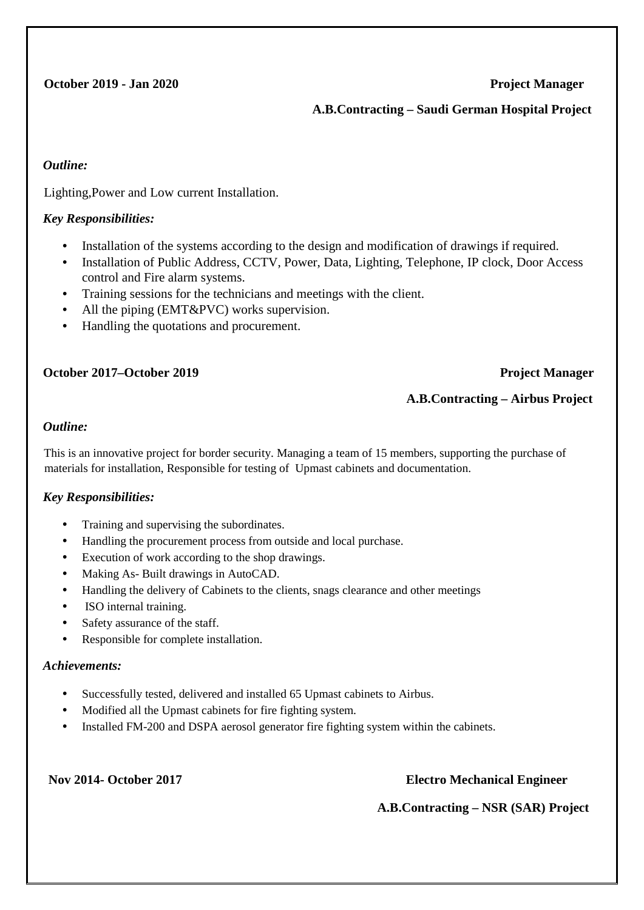### **October 2019 - Jan 2020** Project Manager

#### **A.B.Contracting – Saudi German Hospital Project**

#### *Outline:*

Lighting,Power and Low current Installation.

#### *Key Responsibilities:*

- Installation of the systems according to the design and modification of drawings if required.
- Installation of Public Address, CCTV, Power, Data, Lighting, Telephone, IP clock, Door Access control and Fire alarm systems.
- Training sessions for the technicians and meetings with the client.
- All the piping (EMT&PVC) works supervision.
- Handling the quotations and procurement.

### **October 2017–October 2019 Project Manager**

### **A.B.Contracting – Airbus Project**

#### *Outline:*

This is an innovative project for border security. Managing a team of 15 members, supporting the purchase of materials for installation, Responsible for testing of Upmast cabinets and documentation.

#### *Key Responsibilities:*

- Training and supervising the subordinates.
- Handling the procurement process from outside and local purchase.
- Execution of work according to the shop drawings.
- Making As- Built drawings in AutoCAD.
- Handling the delivery of Cabinets to the clients, snags clearance and other meetings
- ISO internal training.
- Safety assurance of the staff.
- Responsible for complete installation.

#### *Achievements:*

- Successfully tested, delivered and installed 65 Upmast cabinets to Airbus.
- Modified all the Upmast cabinets for fire fighting system.
- Installed FM-200 and DSPA aerosol generator fire fighting system within the cabinets.

#### **Nov 2014- October 2017 Electro Mechanical Engineer**

 **A.B.Contracting – NSR (SAR) Project**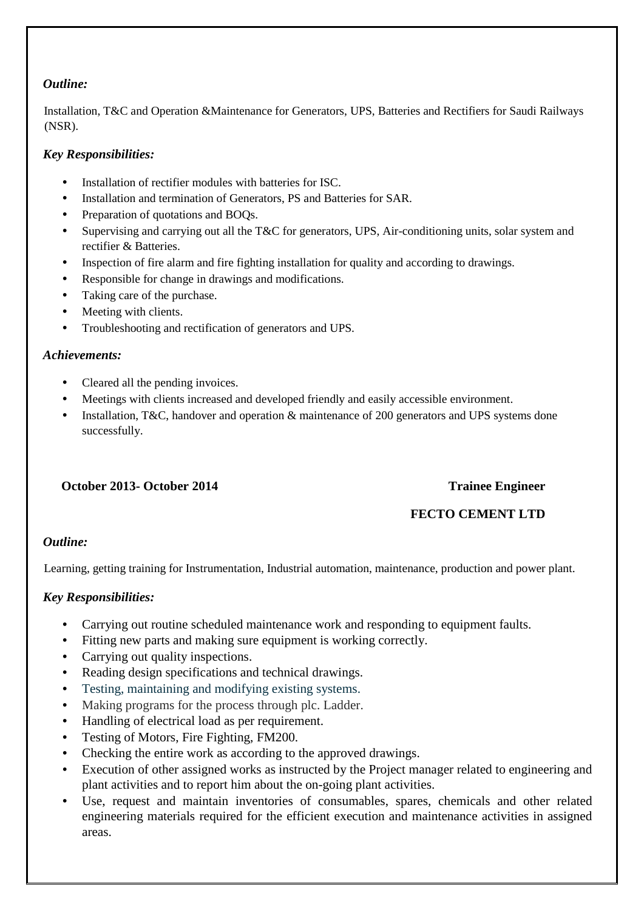### *Outline:*

Installation, T&C and Operation &Maintenance for Generators, UPS, Batteries and Rectifiers for Saudi Railways (NSR).

### *Key Responsibilities:*

- Installation of rectifier modules with batteries for ISC.
- Installation and termination of Generators, PS and Batteries for SAR.
- Preparation of quotations and BOOs.
- Supervising and carrying out all the T&C for generators, UPS, Air-conditioning units, solar system and rectifier & Batteries.
- Inspection of fire alarm and fire fighting installation for quality and according to drawings.
- Responsible for change in drawings and modifications.
- Taking care of the purchase.
- Meeting with clients.
- Troubleshooting and rectification of generators and UPS.

#### *Achievements:*

- Cleared all the pending invoices.
- Meetings with clients increased and developed friendly and easily accessible environment.
- Installation, T&C, handover and operation & maintenance of 200 generators and UPS systems done successfully.

#### **October 2013- October 2014 Trainee Engineer**

## **FECTO CEMENT LTD**

#### *Outline:*

Learning, getting training for Instrumentation, Industrial automation, maintenance, production and power plant.

#### *Key Responsibilities:*

- Carrying out routine scheduled maintenance work and responding to equipment faults.
- Fitting new parts and making sure equipment is working correctly.
- Carrying out quality inspections.
- Reading design specifications and technical drawings.
- Testing, maintaining and modifying existing systems.
- Making programs for the process through plc. Ladder.
- Handling of electrical load as per requirement.
- Testing of Motors, Fire Fighting, FM200.
- Checking the entire work as according to the approved drawings.
- Execution of other assigned works as instructed by the Project manager related to engineering and plant activities and to report him about the on-going plant activities.
- Use, request and maintain inventories of consumables, spares, chemicals and other related engineering materials required for the efficient execution and maintenance activities in assigned areas.